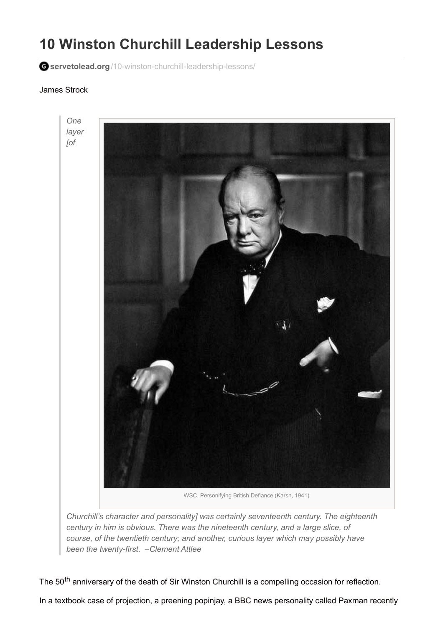# **10 Winston Churchill Leadership Lessons**

**servetolead.org**[/10-winston-churchill-leadership-lessons/](http://servetolead.org/10-winston-churchill-leadership-lessons/)

### James Strock



*Churchill's character and personality] was certainly seventeenth century. The eighteenth century in him is obvious. There was the nineteenth century, and a large slice, of course, of the twentieth century; and another, curious layer which may possibly have been the twenty-first. –Clement Attlee*

The 50<sup>th</sup> anniversary of the death of Sir Winston Churchill is a compelling occasion for reflection.

In a textbook case of projection, a preening popinjay, a BBC news personality called Paxman recently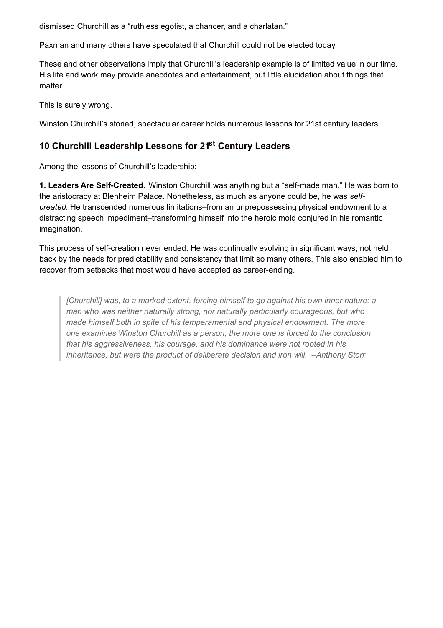dismissed Churchill as a "ruthless egotist, a chancer, and a charlatan."

Paxman and many others have speculated that Churchill could not be elected today.

These and other observations imply that Churchill's leadership example is of limited value in our time. His life and work may provide anecdotes and entertainment, but little elucidation about things that matter.

This is surely wrong.

Winston Churchill's storied, spectacular career holds numerous lessons for 21st century leaders.

## **10 Churchill Leadership Lessons for 21 st Century Leaders**

Among the lessons of Churchill's leadership:

**1. Leaders Are Self-Created.** Winston Churchill was anything but a "self-made man." He was born to the aristocracy at Blenheim Palace. Nonetheless, as much as anyone could be, he was *selfcreated.* He transcended numerous limitations–from an unprepossessing physical endowment to a distracting speech impediment–transforming himself into the heroic mold conjured in his romantic imagination.

This process of self-creation never ended. He was continually evolving in significant ways, not held back by the needs for predictability and consistency that limit so many others. This also enabled him to recover from setbacks that most would have accepted as career-ending.

*[Churchill] was, to a marked extent, forcing himself to go against his own inner nature: a man who was neither naturally strong, nor naturally particularly courageous, but who made himself both in spite of his temperamental and physical endowment. The more one examines Winston Churchill as a person, the more one is forced to the conclusion that his aggressiveness, his courage, and his dominance were not rooted in his inheritance, but were the product of deliberate decision and iron will. –Anthony Storr*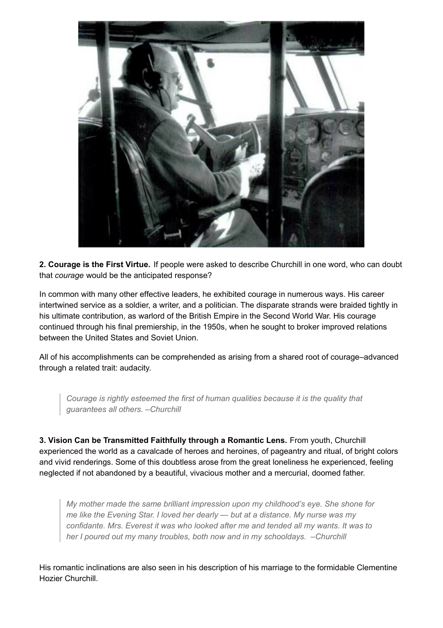

**2. Courage is the First Virtue.** If people were asked to describe Churchill in one word, who can doubt that *courage* would be the anticipated response?

In common with many other effective leaders, he exhibited courage in numerous ways. His career intertwined service as a soldier, a writer, and a politician. The disparate strands were braided tightly in his ultimate contribution, as warlord of the British Empire in the Second World War. His courage continued through his final premiership, in the 1950s, when he sought to broker improved relations between the United States and Soviet Union.

All of his accomplishments can be comprehended as arising from a shared root of courage–advanced through a related trait: audacity.

*Courage is rightly esteemed the first of human qualities because it is the quality that guarantees all others. –Churchill*

**3. Vision Can be Transmitted Faithfully through a Romantic Lens.** From youth, Churchill experienced the world as a cavalcade of heroes and heroines, of pageantry and ritual, of bright colors and vivid renderings. Some of this doubtless arose from the great loneliness he experienced, feeling neglected if not abandoned by a beautiful, vivacious mother and a mercurial, doomed father.

*My mother made the same brilliant impression upon my childhood's eye. She shone for me like the Evening Star. I loved her dearly — but at a distance. My nurse was my confidante. Mrs. Everest it was who looked after me and tended all my wants. It was to her I poured out my many troubles, both now and in my schooldays. –Churchill*

His romantic inclinations are also seen in his description of his marriage to the formidable Clementine Hozier Churchill.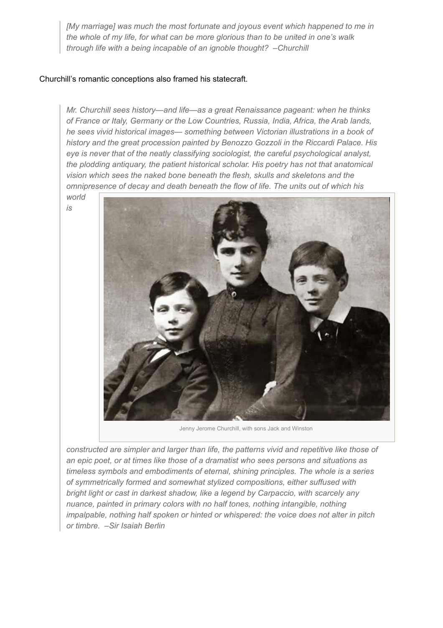*[My marriage] was much the most fortunate and joyous event which happened to me in the whole of my life, for what can be more glorious than to be united in one's walk through life with a being incapable of an ignoble thought? –Churchill*

#### Churchill's romantic conceptions also framed his statecraft.

*Mr. Churchill sees history—and life—as a great Renaissance pageant: when he thinks of France or Italy, Germany or the Low Countries, Russia, India, Africa, the Arab lands, he sees vivid historical images— something between Victorian illustrations in a book of history and the great procession painted by Benozzo Gozzoli in the Riccardi Palace. His eye is never that of the neatly classifying sociologist, the careful psychological analyst, the plodding antiquary, the patient historical scholar. His poetry has not that anatomical vision which sees the naked bone beneath the flesh, skulls and skeletons and the omnipresence of decay and death beneath the flow of life. The units out of which his*

*world is*



Jenny Jerome Churchill, with sons Jack and Winston

*constructed are simpler and larger than life, the patterns vivid and repetitive like those of an epic poet, or at times like those of a dramatist who sees persons and situations as timeless symbols and embodiments of eternal, shining principles. The whole is a series of symmetrically formed and somewhat stylized compositions, either suffused with bright light or cast in darkest shadow, like a legend by Carpaccio, with scarcely any nuance, painted in primary colors with no half tones, nothing intangible, nothing impalpable, nothing half spoken or hinted or whispered: the voice does not alter in pitch or timbre. –Sir Isaiah Berlin*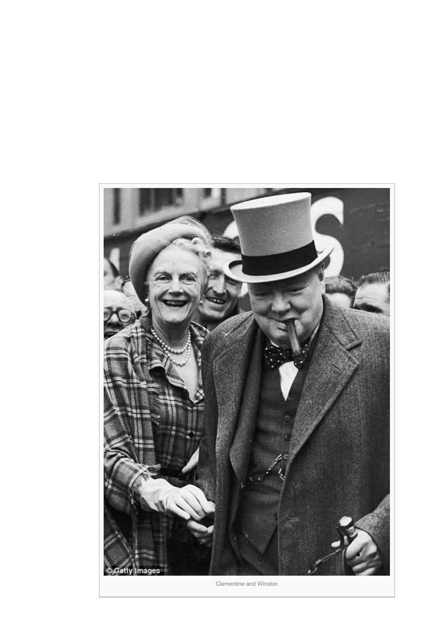

Clementine and Winston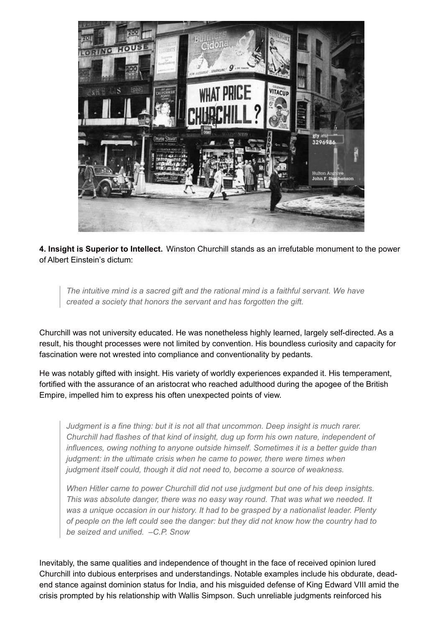

**4. Insight is Superior to Intellect.** Winston Churchill stands as an irrefutable monument to the power of Albert Einstein's dictum:

*The intuitive mind is a sacred gift and the rational mind is a faithful servant. We have created a society that honors the servant and has forgotten the gift.*

Churchill was not university educated. He was nonetheless highly learned, largely self-directed. As a result, his thought processes were not limited by convention. His boundless curiosity and capacity for fascination were not wrested into compliance and conventionality by pedants.

He was notably gifted with insight. His variety of worldly experiences expanded it. His temperament, fortified with the assurance of an aristocrat who reached adulthood during the apogee of the British Empire, impelled him to express his often unexpected points of view.

*Judgment is a fine thing: but it is not all that uncommon. Deep insight is much rarer. Churchill had flashes of that kind of insight, dug up form his own nature, independent of influences, owing nothing to anyone outside himself. Sometimes it is a better guide than judgment: in the ultimate crisis when he came to power, there were times when judgment itself could, though it did not need to, become a source of weakness.*

*When Hitler came to power Churchill did not use judgment but one of his deep insights. This was absolute danger, there was no easy way round. That was what we needed. It was a unique occasion in our history. It had to be grasped by a nationalist leader. Plenty of people on the left could see the danger: but they did not know how the country had to be seized and unified. –C.P. Snow*

Inevitably, the same qualities and independence of thought in the face of received opinion lured Churchill into dubious enterprises and understandings. Notable examples include his obdurate, deadend stance against dominion status for India, and his misguided defense of King Edward VIII amid the crisis prompted by his relationship with Wallis Simpson. Such unreliable judgments reinforced his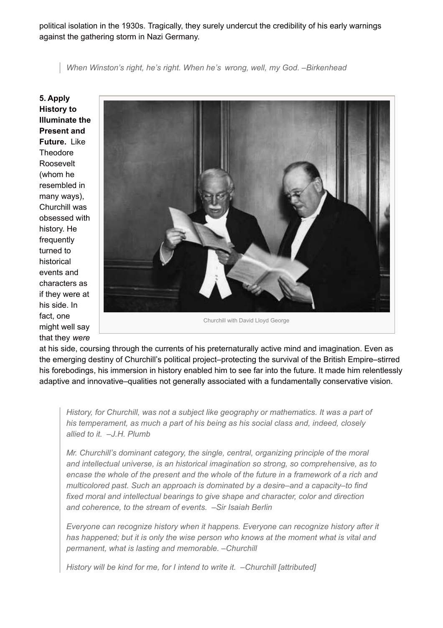political isolation in the 1930s. Tragically, they surely undercut the credibility of his early warnings against the gathering storm in Nazi Germany.

*When Winston's right, he's right. When he's wrong, well, my God. –Birkenhead*

**5. Apply History to Illuminate the Present and Future.** Like **Theodore** Roosevelt (whom he resembled in many ways), Churchill was obsessed with history. He frequently turned to historical events and characters as if they were at his side. In fact, one might well say that they *were*



at his side, coursing through the currents of his preternaturally active mind and imagination. Even as the emerging destiny of Churchill's political project–protecting the survival of the British Empire–stirred his forebodings, his immersion in history enabled him to see far into the future. It made him relentlessly adaptive and innovative–qualities not generally associated with a fundamentally conservative vision.

*History, for Churchill, was not a subject like geography or mathematics. It was a part of his temperament, as much a part of his being as his social class and, indeed, closely allied to it. –J.H. Plumb*

*Mr. Churchill's dominant category, the single, central, organizing principle of the moral and intellectual universe, is an historical imagination so strong, so comprehensive, as to encase the whole of the present and the whole of the future in a framework of a rich and multicolored past. Such an approach is dominated by a desire–and a capacity–to find fixed moral and intellectual bearings to give shape and character, color and direction and coherence, to the stream of events. –Sir Isaiah Berlin*

*Everyone can recognize history when it happens. Everyone can recognize history after it has happened; but it is only the wise person who knows at the moment what is vital and permanent, what is lasting and memorable. –Churchill*

*History will be kind for me, for I intend to write it. –Churchill [attributed]*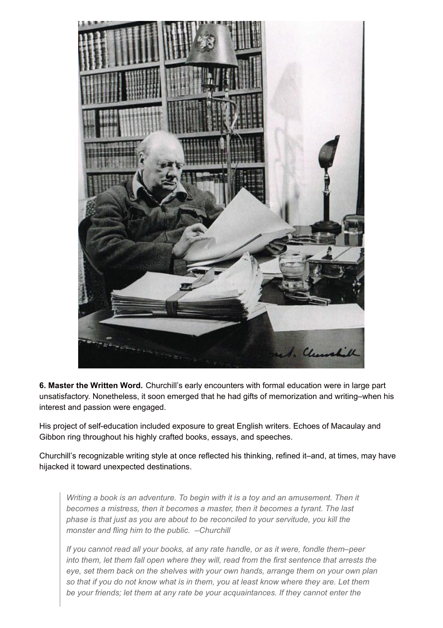

**6. Master the Written Word.** Churchill's early encounters with formal education were in large part unsatisfactory. Nonetheless, it soon emerged that he had gifts of memorization and writing–when his interest and passion were engaged.

His project of self-education included exposure to great English writers. Echoes of Macaulay and Gibbon ring throughout his highly crafted books, essays, and speeches.

Churchill's recognizable writing style at once reflected his thinking, refined it–and, at times, may have hijacked it toward unexpected destinations.

*Writing a book is an adventure. To begin with it is a toy and an amusement. Then it becomes a mistress, then it becomes a master, then it becomes a tyrant. The last phase is that just as you are about to be reconciled to your servitude, you kill the monster and fling him to the public. –Churchill*

*If you cannot read all your books, at any rate handle, or as it were, fondle them–peer into them, let them fall open where they will, read from the first sentence that arrests the eye, set them back on the shelves with your own hands, arrange them on your own plan* so that if you do not know what is in them, you at least know where they are. Let them *be your friends; let them at any rate be your acquaintances. If they cannot enter the*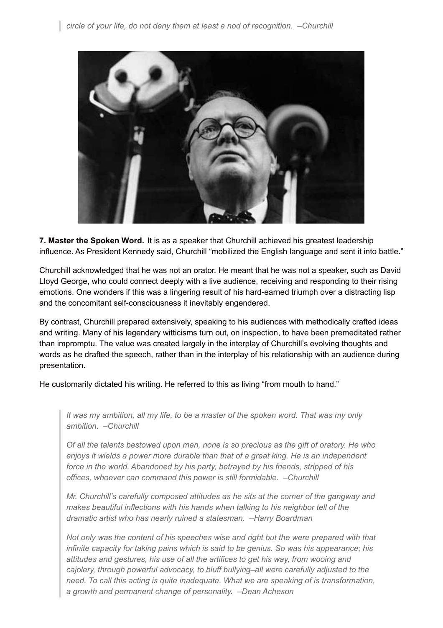

**7. Master the Spoken Word.** It is as a speaker that Churchill achieved his greatest leadership influence. As President Kennedy said, Churchill "mobilized the English language and sent it into battle."

Churchill acknowledged that he was not an orator. He meant that he was not a speaker, such as David Lloyd George, who could connect deeply with a live audience, receiving and responding to their rising emotions. One wonders if this was a lingering result of his hard-earned triumph over a distracting lisp and the concomitant self-consciousness it inevitably engendered.

By contrast, Churchill prepared extensively, speaking to his audiences with methodically crafted ideas and writing. Many of his legendary witticisms turn out, on inspection, to have been premeditated rather than impromptu. The value was created largely in the interplay of Churchill's evolving thoughts and words as he drafted the speech, rather than in the interplay of his relationship with an audience during presentation.

He customarily dictated his writing. He referred to this as living "from mouth to hand."

*It was my ambition, all my life, to be a master of the spoken word. That was my only ambition. –Churchill*

*Of all the talents bestowed upon men, none is so precious as the gift of oratory. He who enjoys it wields a power more durable than that of a great king. He is an independent force in the world. Abandoned by his party, betrayed by his friends, stripped of his offices, whoever can command this power is still formidable. –Churchill*

*Mr. Churchill's carefully composed attitudes as he sits at the corner of the gangway and makes beautiful inflections with his hands when talking to his neighbor tell of the dramatic artist who has nearly ruined a statesman. –Harry Boardman*

*Not only was the content of his speeches wise and right but the were prepared with that infinite capacity for taking pains which is said to be genius. So was his appearance; his attitudes and gestures, his use of all the artifices to get his way, from wooing and cajolery, through powerful advocacy, to bluff bullying–all were carefully adjusted to the need. To call this acting is quite inadequate. What we are speaking of is transformation, a growth and permanent change of personality. –Dean Acheson*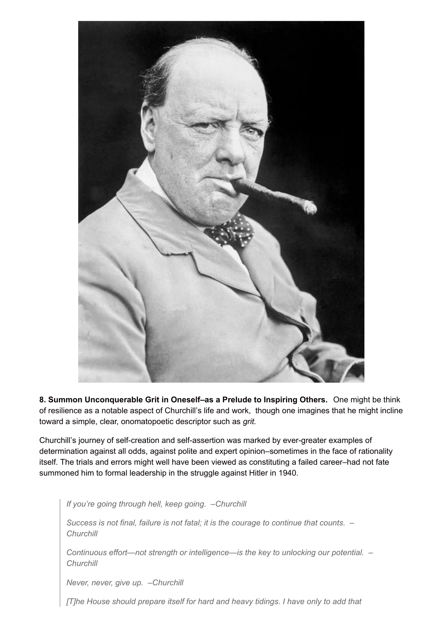

**8. Summon Unconquerable Grit in Oneself–as a Prelude to Inspiring Others.** One might be think of resilience as a notable aspect of Churchill's life and work, though one imagines that he might incline toward a simple, clear, onomatopoetic descriptor such as *grit.*

Churchill's journey of self-creation and self-assertion was marked by ever-greater examples of determination against all odds, against polite and expert opinion–sometimes in the face of rationality itself. The trials and errors might well have been viewed as constituting a failed career–had not fate summoned him to formal leadership in the struggle against Hitler in 1940.

*If you're going through hell, keep going. –Churchill*

*Success is not final, failure is not fatal; it is the courage to continue that counts. – Churchill*

*Continuous effort—not strength or intelligence—is the key to unlocking our potential. – Churchill*

*Never, never, give up. –Churchill*

*[T]he House should prepare itself for hard and heavy tidings. I have only to add that*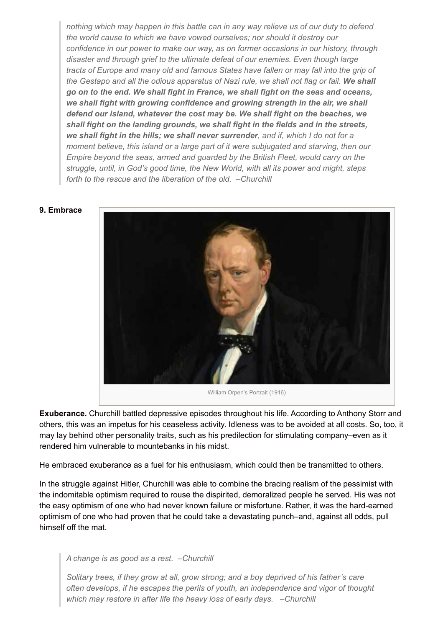*nothing which may happen in this battle can in any way relieve us of our duty to defend the world cause to which we have vowed ourselves; nor should it destroy our confidence in our power to make our way, as on former occasions in our history, through disaster and through grief to the ultimate defeat of our enemies. Even though large tracts of Europe and many old and famous States have fallen or may fall into the grip of the Gestapo and all the odious apparatus of Nazi rule, we shall not flag or fail. We shall go on to the end. We shall fight in France, we shall fight on the seas and oceans, we shall fight with growing confidence and growing strength in the air, we shall defend our island, whatever the cost may be. We shall fight on the beaches, we shall fight on the landing grounds, we shall fight in the fields and in the streets, we shall fight in the hills; we shall never surrender, and if, which I do not for a moment believe, this island or a large part of it were subjugated and starving, then our Empire beyond the seas, armed and guarded by the British Fleet, would carry on the struggle, until, in God's good time, the New World, with all its power and might, steps forth to the rescue and the liberation of the old. –Churchill*

#### **9. Embrace**



**Exuberance.** Churchill battled depressive episodes throughout his life. According to Anthony Storr and others, this was an impetus for his ceaseless activity. Idleness was to be avoided at all costs. So, too, it may lay behind other personality traits, such as his predilection for stimulating company–even as it rendered him vulnerable to mountebanks in his midst.

He embraced exuberance as a fuel for his enthusiasm, which could then be transmitted to others.

In the struggle against Hitler, Churchill was able to combine the bracing realism of the pessimist with the indomitable optimism required to rouse the dispirited, demoralized people he served. His was not the easy optimism of one who had never known failure or misfortune. Rather, it was the hard-earned optimism of one who had proven that he could take a devastating punch–and, against all odds, pull himself off the mat.

*A change is as good as a rest. –Churchill*

*Solitary trees, if they grow at all, grow strong; and a boy deprived of his father's care often develops, if he escapes the perils of youth, an independence and vigor of thought which may restore in after life the heavy loss of early days. –Churchill*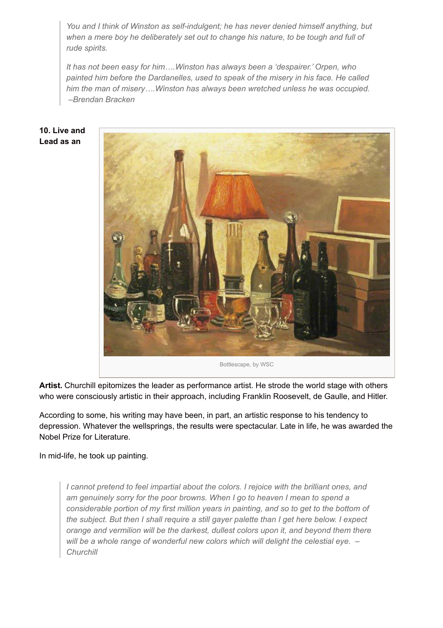*You and I think of Winston as self-indulgent; he has never denied himself anything, but when a mere boy he deliberately set out to change his nature, to be tough and full of rude spirits.*

*It has not been easy for him….Winston has always been a 'despairer.' Orpen, who painted him before the Dardanelles, used to speak of the misery in his face. He called him the man of misery….Winston has always been wretched unless he was occupied. –Brendan Bracken*

## **10. Live and Lead as an**



**Artist.** Churchill epitomizes the leader as performance artist. He strode the world stage with others who were consciously artistic in their approach, including Franklin Roosevelt, de Gaulle, and Hitler.

According to some, his writing may have been, in part, an artistic response to his tendency to depression. Whatever the wellsprings, the results were spectacular. Late in life, he was awarded the Nobel Prize for Literature.

In mid-life, he took up painting.

*I cannot pretend to feel impartial about the colors. I rejoice with the brilliant ones, and am genuinely sorry for the poor browns. When I go to heaven I mean to spend a considerable portion of my first million years in painting, and so to get to the bottom of the subject. But then I shall require a still gayer palette than I get here below. I expect orange and vermilion will be the darkest, dullest colors upon it, and beyond them there will be a whole range of wonderful new colors which will delight the celestial eye. – Churchill*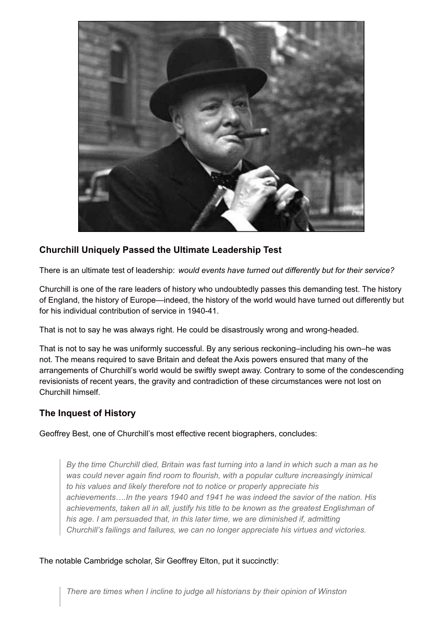

# **Churchill Uniquely Passed the Ultimate Leadership Test**

There is an ultimate test of leadership: *would events have turned out differently but for their service?*

Churchill is one of the rare leaders of history who undoubtedly passes this demanding test. The history of England, the history of Europe—indeed, the history of the world would have turned out differently but for his individual contribution of service in 1940-41.

That is not to say he was always right. He could be disastrously wrong and wrong-headed.

That is not to say he was uniformly successful. By any serious reckoning–including his own–he was not. The means required to save Britain and defeat the Axis powers ensured that many of the arrangements of Churchill's world would be swiftly swept away. Contrary to some of the condescending revisionists of recent years, the gravity and contradiction of these circumstances were not lost on Churchill himself.

## **The Inquest of History**

Geoffrey Best, one of Churchill's most effective recent biographers, concludes:

*By the time Churchill died, Britain was fast turning into a land in which such a man as he was could never again find room to flourish, with a popular culture increasingly inimical to his values and likely therefore not to notice or properly appreciate his achievements….In the years 1940 and 1941 he was indeed the savior of the nation. His achievements, taken all in all, justify his title to be known as the greatest Englishman of his age. I am persuaded that, in this later time, we are diminished if, admitting Churchill's failings and failures, we can no longer appreciate his virtues and victories.*

The notable Cambridge scholar, Sir Geoffrey Elton, put it succinctly:

*There are times when I incline to judge all historians by their opinion of Winston*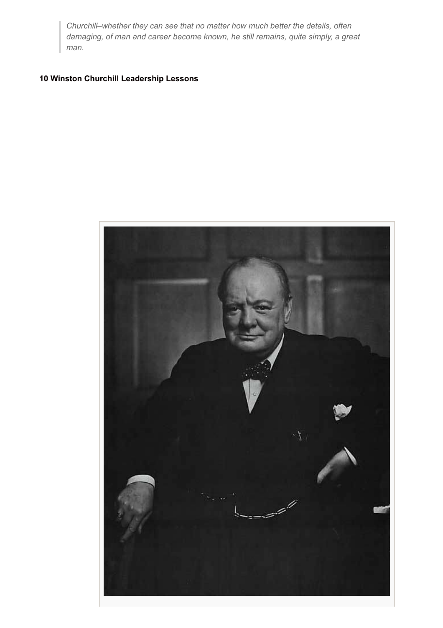*Churchill–whether they can see that no matter how much better the details, often damaging, of man and career become known, he still remains, quite simply, a great man.*

## **10 Winston Churchill Leadership Lessons**